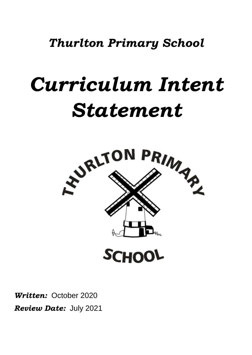*Thurlton Primary School*

# *Curriculum Intent Statement*



*Written:* October 2020 *Review Date:* July 2021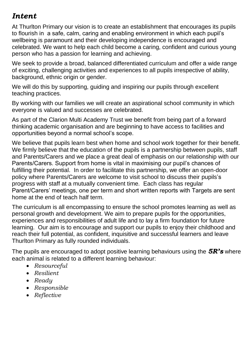# *Intent*

At Thurlton Primary our vision is to create an establishment that encourages its pupils to flourish in a safe, calm, caring and enabling environment in which each pupil's wellbeing is paramount and their developing independence is encouraged and celebrated. We want to help each child become a caring, confident and curious young person who has a passion for learning and achieving.

We seek to provide a broad, balanced differentiated curriculum and offer a wide range of exciting, challenging activities and experiences to all pupils irrespective of ability, background, ethnic origin or gender.

We will do this by supporting, guiding and inspiring our pupils through excellent teaching practices.

By working with our families we will create an aspirational school community in which everyone is valued and successes are celebrated.

As part of the Clarion Multi Academy Trust we benefit from being part of a forward thinking academic organisation and are beginning to have access to facilities and opportunities beyond a normal school's scope.

We believe that pupils learn best when home and school work together for their benefit. We firmly believe that the education of the pupils is a partnership between pupils, staff and Parents/Carers and we place a great deal of emphasis on our relationship with our Parents/Carers. Support from home is vital in maximising our pupil's chances of fulfilling their potential. In order to facilitate this partnership, we offer an open-door policy where Parents/Carers are welcome to visit school to discuss their pupils's progress with staff at a mutually convenient time. Each class has regular Parent/Carers' meetings, one per term and short written reports with Targets are sent home at the end of teach half term.

The curriculum is all encompassing to ensure the school promotes learning as well as personal growth and development. We aim to prepare pupils for the opportunities, experiences and responsibilities of adult life and to lay a firm foundation for future learning. Our aim is to encourage and support our pupils to enjoy their childhood and reach their full potential, as confident, inquisitive and successful learners and leave Thurlton Primary as fully rounded individuals.

The pupils are encouraged to adopt positive learning behaviours using the *5R's* where each animal is related to a different learning behaviour:

- *Resourceful*
- *Resilient*
- *Ready*
- *Responsible*
- *Reflective*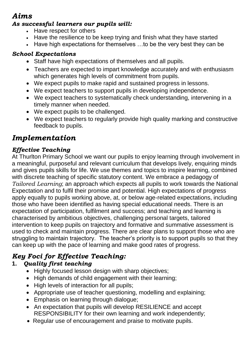# *Aims*

#### *As successful learners our pupils will:*

- Have respect for others
- Have the resilience to be keep trying and finish what they have started
- Have high expectations for themselves …to be the very best they can be

# *School Expectations*

- Staff have high expectations of themselves and all pupils.
- Teachers are expected to impart knowledge accurately and with enthusiasm which generates high levels of commitment from pupils.
- We expect pupils to make rapid and sustained progress in lessons.
- We expect teachers to support pupils in developing independence.
- We expect teachers to systematically check understanding, intervening in a timely manner when needed.
- We expect pupils to be challenged.
- We expect teachers to regularly provide high quality marking and constructive feedback to pupils.

# *Implementation*

# *Effective Teaching*

At Thurlton Primary School we want our pupils to enjoy learning through involvement in a meaningful, purposeful and relevant curriculum that develops lively, enquiring minds and gives pupils skills for life. We use themes and topics to inspire learning, combined with discrete teaching of specific statutory content. We embrace a pedagogy of *Tailored Learning*; an approach which expects all pupils to work towards the National Expectation and to fulfil their promise and potential. High expectations of progress apply equally to pupils working above, at, or below age-related expectations, including those who have been identified as having special educational needs. There is an expectation of participation, fulfilment and success; and teaching and learning is characterised by ambitious objectives, challenging personal targets, tailored intervention to keep pupils on trajectory and formative and summative assessment is used to check and maintain progress. There are clear plans to support those who are struggling to maintain trajectory. The teacher's priority is to support pupils so that they can keep up with the pace of learning and make good rates of progress.

# *Key Foci for Effective Teaching:*

# **1.** *Quality first teaching*

- $\bullet$  Highly focused lesson design with sharp objectives;
- High demands of child engagement with their learning;
- High levels of interaction for all pupils;
- Appropriate use of teacher questioning, modelling and explaining;
- Emphasis on learning through dialogue;
- An expectation that pupils will develop RESILIENCE and accept RESPONSIBILITY for their own learning and work independently;
- Regular use of encouragement and praise to motivate pupils.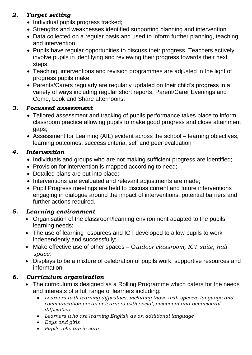# *2. Target setting*

- Individual pupils progress tracked;
- Strengths and weaknesses identified supporting planning and intervention
- Data collected on a regular basis and used to inform further planning, teaching and intervention.
- Pupils have regular opportunities to discuss their progress. Teachers actively involve pupils in identifying and reviewing their progress towards their next steps.
- Teaching, interventions and revision programmes are adjusted in the light of progress pupils make;
- Parents/Carers regularly are regularly updated on their child's progress in a variety of ways including regular short reports, Parent/Carer Evenings and Come, Look and Share afternoons.

#### *3. Focussed assessment*

- Tailored assessment and tracking of pupils performance takes place to inform classroom practice allowing pupils to make good progress and close attainment gaps;
- Assessment for Learning (AfL) evident across the school learning objectives, learning outcomes, success criteria, self and peer evaluation

#### *4. Intervention*

- Individuals and groups who are not making sufficient progress are identified;
- Provision for intervention is mapped according to need;
- Detailed plans are put into place;
- Interventions are evaluated and relevant adjustments are made;
- Pupil Progress meetings are held to discuss current and future interventions engaging in dialogue around the impact of interventions, potential barriers and further actions required.

#### *5. Learning environment*

- Organisation of the classroom/learning environment adapted to the pupils learning needs;
- The use of learning resources and ICT developed to allow pupils to work independently and successfully;
- Make effective use of other spaces O*utdoor classroom, ICT suite, hall space*;
- Displays to be a mixture of celebration of pupils work, supportive resources and information.

# *6. Curriculum organisation*

- The curriculum is designed as a Rolling Programme which caters for the needs and interests of a full range of learners including:
	- *Learners with learning difficulties, including those with speech, language and communication needs or learners with social, emotional and behavioural difficulties*
	- *Learners who are learning English as an additional language*
	- *Boys and girls*
	- *Pupils who are in care*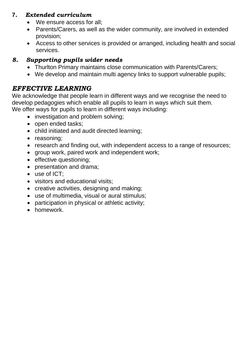# **7***. Extended curriculum*

- We ensure access for all:
- Parents/Carers, as well as the wider community, are involved in extended provision;
- Access to other services is provided or arranged, including health and social services.

# *8. Supporting pupils wider needs*

- Thurlton Primary maintains close communication with Parents/Carers;
- We develop and maintain multi agency links to support vulnerable pupils;

# *EFFECTIVE LEARNING*

We acknowledge that people learn in different ways and we recognise the need to develop pedagogies which enable all pupils to learn in ways which suit them. We offer ways for pupils to learn in different ways including:

- investigation and problem solving;
- open ended tasks;
- child initiated and audit directed learning;
- reasoning;
- research and finding out, with independent access to a range of resources;
- group work, paired work and independent work;
- effective questioning;
- presentation and drama;
- use of ICT:
- visitors and educational visits;
- creative activities, designing and making;
- use of multimedia, visual or aural stimulus;
- participation in physical or athletic activity;
- homework.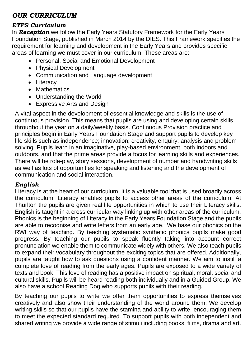# *OUR CURRICULUM*

#### *EYFS Curriculum*

In *Reception* we follow the Early Years Statutory Framework for the Early Years Foundation Stage, published in March 2014 by the DfES. This Framework specifies the requirement for learning and development in the Early Years and provides specific areas of learning we must cover in our curriculum. These areas are:

- Personal, Social and Emotional Development
- Physical Development
- Communication and Language development
- Literacy
- Mathematics
- Understanding the World
- Expressive Arts and Design

A vital aspect in the development of essential knowledge and skills is the use of continuous provision. This means that pupils are using and developing certain skills throughout the year on a daily/weekly basis. Continuous Provision practice and principles begin in Early Years Foundation Stage and support pupils to develop key life skills such as independence; innovation; creativity, enquiry; analysis and problem solving. Pupils learn in an imaginative, play-based environment, both indoors and outdoors, and that the prime areas provide a focus for learning skills and experiences. There will be role-play, story sessions, development of number and handwriting skills as well as lots of opportunities for speaking and listening and the development of communication and social interaction.

#### *English*

Literacy is at the heart of our curriculum. It is a valuable tool that is used broadly across the curriculum. Literacy enables pupils to access other areas of the curriculum. At Thurlton the pupils are given real life opportunities in which to use their Literacy skills. English is taught in a cross curricular way linking up with other areas of the curriculum. Phonics is the beginning of Literacy in the Early Years Foundation Stage and the pupils are able to recognise and write letters from an early age. We base our phonics on the RWI way of teaching. By teaching systematic synthetic phonics pupils make good progress. By teaching our pupils to speak fluently taking into account correct pronunciation we enable them to communicate widely with others. We also teach pupils to expand their vocabulary throughout the exciting topics that are offered. Additionally, pupils are taught how to ask questions using a confident manner. We aim to instill a complete love of reading from the early ages. Pupils are exposed to a wide variety of texts and book. This love of reading has a positive impact on spiritual, moral, social and cultural skills. Pupils will be heard reading both individually and in a Guided Group. We also have a school Reading Dog who supports pupils with their reading.

By teaching our pupils to write we offer them opportunities to express themselves creatively and also show their understanding of the world around them. We develop writing skills so that our pupils have the stamina and ability to write, encouraging them to meet the expected standard required. To support pupils with both independent and shared writing we provide a wide range of stimuli including books, films, drama and art.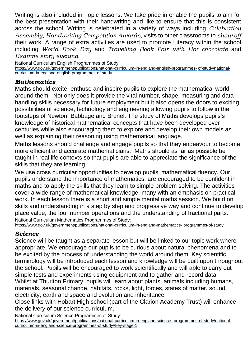Writing is also included in Topic lessons. We take pride in enable the pupils to aim for the best presentation with their handwriting and like to ensure that this is consistent across the school. Writing is celebrated in a variety of ways including *Celebration Assembly*, *Handwriting Competition Awards*, visits to other classrooms to *show off*  their work. A range of extra activities are used to promote Literacy within the school including *World Book Day* and *Travelling Book Fair with Hot chocolate* and *Bedtime story evening*.

National Curriculum English Programmes of Study: [https://www.gov.uk/government/publications/national-curriculum-in-england-english-programmes-](https://www.gov.uk/government/publications/national-curriculum-in-england-english-programmes-of-study/national-curriculum-in-england-english-programmes-of-study) [of-study/national-](https://www.gov.uk/government/publications/national-curriculum-in-england-english-programmes-of-study/national-curriculum-in-england-english-programmes-of-study)

[curriculum-in-england-english-programmes-of-study](https://www.gov.uk/government/publications/national-curriculum-in-england-english-programmes-of-study/national-curriculum-in-england-english-programmes-of-study)

#### *Mathematics*

Maths should excite, enthuse and inspire pupils to explore the mathematical world around them. Not only does it provide the vital number, shape, measuring and datahandling skills necessary for future employment but it also opens the doors to exciting possibilities of science, technology and engineering allowing pupils to follow in the footsteps of Newton, Babbage and Brunel. The study of Maths develops pupils's knowledge of historical mathematical concepts that have been developed over centuries while also encouraging them to explore and develop their own models as well as explaining their reasoning using mathematical language.

Maths lessons should challenge and engage pupils so that they endeavour to become more efficient and accurate mathematicians. Maths should as far as possible be taught in real life contexts so that pupils are able to appreciate the significance of the skills that they are learning.

We use cross curricular opportunities to develop pupils' mathematical fluency. Our pupils understand the importance of mathematics, are encouraged to be confident in maths and to apply the skills that they learn to simple problem solving. The activities cover a wide range of mathematical knowledge, many with an emphasis on practical work. In each lesson there is a short and simple mental maths session. We build on skills and understanding in a step by step and progressive way and continue to develop place value, the four number operations and the understanding of fractional parts. National Curriculum Mathematics Programmes of Study:

[https://www.gov.uk/government/publications/national-curriculum-in-england-mathematics-](https://www.gov.uk/government/publications/national-curriculum-in-england-mathematics-programmes-of-study) [programmes-of-study](https://www.gov.uk/government/publications/national-curriculum-in-england-mathematics-programmes-of-study)

#### *Science*

Science will be taught as a separate lesson but will be linked to our topic work where appropriate. We encourage our pupils to be curious about natural phenomena and to be excited by the process of understanding the world around them. Key scientific terminology will be introduced each lesson and knowledge will be built upon throughout the school. Pupils will be encouraged to work scientifically and will able to carry out simple tests and experiments using equipment and to gather and record data. Whilst at Thurlton Primary, pupils will learn about plants, animals including humans, materials, seasonal change, habitats, rocks, light, forces, states of matter, sound, electricity, earth and space and evolution and inheritance.

Close links with Hobart High school (part of the Clarion Academy Trust) will enhance the delivery of our science curriculum.

National Curriculum Science Programmes of Study:

[https://www.gov.uk/government/publications/national-curriculum-in-england-science-](https://www.gov.uk/government/publications/national-curriculum-in-england-science-programmes-of-study/national-curriculum-in-england-science-programmes-of-study#key-stage-1) [programmes-of-study/national](https://www.gov.uk/government/publications/national-curriculum-in-england-science-programmes-of-study/national-curriculum-in-england-science-programmes-of-study#key-stage-1)[curriculum-in-england-science-programmes-of-study#key-stage-1](https://www.gov.uk/government/publications/national-curriculum-in-england-science-programmes-of-study/national-curriculum-in-england-science-programmes-of-study#key-stage-1)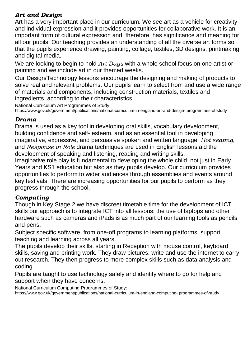# *Art and Design*

Art has a very important place in our curriculum. We see art as a vehicle for creativity and individual expression and it provides opportunities for collaborative work. It is an important form of cultural expression and, therefore, has significance and meaning for all our pupils. Our teaching provides an understanding of all the diverse art forms so that the pupils experience drawing, painting, collage, textiles, 3D designs, printmaking and digital media.

We are looking to begin to hold *Art Days* with a whole school focus on one artist or painting and we include art in our themed weeks.

Our Design/Technology lessons encourage the designing and making of products to solve real and relevant problems. Our pupils learn to select from and use a wide range of materials and components, including construction materials, textiles and ingredients, according to their characteristics.

National Curriculum Art Programmes of Study

[https://www.gov.uk/government/publications/national-curriculum-in-england-art-and-design-](https://www.gov.uk/government/publications/national-curriculum-in-england-art-and-design-programmes-of-study) [programmes-of-study](https://www.gov.uk/government/publications/national-curriculum-in-england-art-and-design-programmes-of-study)

#### *Drama*

Drama is used as a key tool in developing oral skills, vocabulary development, building confidence and self- esteem, and as an essential tool in developing imaginative, expressive, and persuasive spoken and written language. *Hot seating*, and *Response in Role* drama techniques are used in English lessons aid the development of speaking and listening, reading and writing skills.

Imaginative role play is fundamental to developing the whole child, not just in Early Years and KS1 education but also as they pupils develop. Our curriculum provides opportunities to perform to wider audiences through assemblies and events around key festivals. There are increasing opportunities for our pupils to perform as they progress through the school.

#### *Computing*

Though in Key Stage 2 we have discreet timetable time for the development of ICT skills our approach is to integrate ICT into all lessons: the use of laptops and other hardware such as cameras and iPads is as much part of our learning tools as pencils and pens.

Subject specific software, from one-off programs to learning platforms, support teaching and learning across all years.

The pupils develop their skills, starting in Reception with mouse control, keyboard skills, saving and printing work. They draw pictures, write and use the internet to carry out research. They then progress to more complex skills such as data analysis and coding.

Pupils are taught to use technology safely and identify where to go for help and support when they have concerns.

National Curriculum Computing Programmes of Study: [https://www.gov.uk/government/publications/national-curriculum-in-england-computing-](https://www.gov.uk/government/publications/national-curriculum-in-england-computing-programmes-of-study) [programmes-of-study](https://www.gov.uk/government/publications/national-curriculum-in-england-computing-programmes-of-study)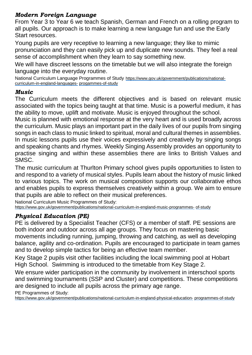#### *Modern Foreign Language*

From Year 3 to Year 6 we teach Spanish, German and French on a rolling program to all pupils. Our approach is to make learning a new language fun and use the Early Start resources.

Young pupils are very receptive to learning a new language; they like to mimic pronunciation and they can easily pick up and duplicate new sounds. They feel a real sense of accomplishment when they learn to say something new.

We will have discreet lessons on the timetable but we will also integrate the foreign language into the everyday routine.

National Curriculum Language Programmes of Study [https://www.gov.uk/government/publications/national](https://www.gov.uk/government/publications/national-curriculum-in-england-languages-progammes-of-study)[curriculum-in-england-languages-](https://www.gov.uk/government/publications/national-curriculum-in-england-languages-progammes-of-study) [progammes-of-study](https://www.gov.uk/government/publications/national-curriculum-in-england-languages-progammes-of-study)

#### *Music*

The Curriculum meets the different objectives and is based on relevant music associated with the topics being taught at that time. Music is a powerful medium, it has the ability to move, uplift and motivate. Music is enjoyed throughout the school.

Music is planned with emotional response at the very heart and is used broadly across the curriculum. Music plays an important part in the daily lives of our pupils from singing songs in each class to music linked to spiritual, moral and cultural themes in assemblies. In music lessons pupils use their voices expressively and creatively by singing songs and speaking chants and rhymes. Weekly Singing Assembly provides an opportunity to practise singing and within these assemblies there are links to British Values and SMSC.

The music curriculum at Thurlton Primary school gives pupils opportunities to listen to and respond to a variety of musical styles. Pupils learn about the history of music linked to various topics. The work on musical composition supports our collaborative ethos and enables pupils to express themselves creatively within a group. We aim to ensure that pupils are able to reflect on their musical preferences.

National Curriculum Music Programmes of Study: [https://www.gov.uk/government/publications/national-curriculum-in-england-music-programmes-](https://www.gov.uk/government/publications/national-curriculum-in-england-music-programmes-of-study) [of-study](https://www.gov.uk/government/publications/national-curriculum-in-england-music-programmes-of-study)

# *Physical Education (PE)*

PE is delivered by a Specialist Teacher (CFS) or a member of staff. PE sessions are both indoor and outdoor across all age groups. They focus on mastering basic movements including running, jumping, throwing and catching, as well as developing balance, agility and co-ordination. Pupils are encouraged to participate in team games and to develop simple tactics for being an effective team member.

Key Stage 2 pupils visit other facilities including the local swimming pool at Hobart High School. Swimming is introduced to the timetable from Key Stage 2.

We ensure wider participation in the community by involvement in interschool sports and swimming tournaments (SSP and Cluster) and competitions. These competitions are designed to include all pupils across the primary age range.

PE Programmes of Study:

[https://www.gov.uk/government/publications/national-curriculum-in-england-physical-education-](https://www.gov.uk/government/publications/national-curriculum-in-england-physical-education-programmes-of-study) [programmes-of-study](https://www.gov.uk/government/publications/national-curriculum-in-england-physical-education-programmes-of-study)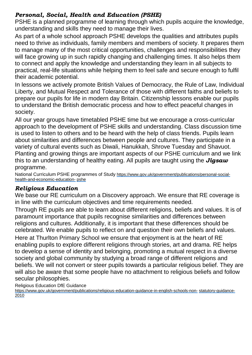# *Personal, Social, Health and Education (PSHE)*

PSHE is a planned programme of learning through which pupils acquire the knowledge, understanding and skills they need to manage their lives.

As part of a whole school approach PSHE develops the qualities and attributes pupils need to thrive as individuals, family members and members of society. It prepares them to manage many of the most critical opportunities, challenges and responsibilities they will face growing up in such rapidly changing and challenging times. It also helps them to connect and apply the knowledge and understanding they learn in all subjects to practical, real-life situations while helping them to feel safe and secure enough to fulfil their academic potential.

In lessons we actively promote British Values of Democracy, the Rule of Law, Individual Liberty, and Mutual Respect and Tolerance of those with different faiths and beliefs to prepare our pupils for life in modern day Britain. Citizenship lessons enable our pupils to understand the British democratic process and how to effect peaceful changes in society.

All our year groups have timetabled PSHE time but we encourage a cross-curricular approach to the development of PSHE skills and understanding. Class discussion time is used to listen to others and to be heard with the help of class friends. Pupils learn about similarities and differences between people and cultures. They participate in a variety of cultural events such as Diwali, Hanukkah, Shrove Tuesday and Shavuot. Planting and growing things are important aspects of our PSHE curriculum and we link this to an understanding of healthy eating. All pupils are taught using the *Jigsaw* programme.

National Curriculum PSHE programmes of Study [https://www.gov.uk/government/publications/personal-social](https://www.gov.uk/government/publications/personal-social-health-and-economic-education-pshe)[health-and-economic-education-](https://www.gov.uk/government/publications/personal-social-health-and-economic-education-pshe) [pshe](https://www.gov.uk/government/publications/personal-social-health-and-economic-education-pshe)

# *Religious Education*

We base our RE curriculum on a Discovery approach. We ensure that RE coverage is in line with the curriculum objectives and time requirements needed.

Through RE pupils are able to learn about different religions, beliefs and values. It is of paramount importance that pupils recognise similarities and differences between religions and cultures. Additionally, it is important that these differences should be celebrated. We enable pupils to reflect on and question their own beliefs and values.

Here at Thurlton Primary School we ensure that enjoyment is at the heart of RE enabling pupils to explore different religions through stories, art and drama. RE helps to develop a sense of identity and belonging, promoting a mutual respect in a diverse society and global community by studying a broad range of different religions and beliefs. We will not convert or steer pupils towards a particular religious belief. They are will also be aware that some people have no attachment to religious beliefs and follow secular philosophies.

Religious Education DfE Guidance

[https://www.gov.uk/government/publications/religious-education-guidance-in-english-schools-non-](https://www.gov.uk/government/publications/religious-education-guidance-in-english-schools-non-statutory-guidance-2010) [statutory-guidance-](https://www.gov.uk/government/publications/religious-education-guidance-in-english-schools-non-statutory-guidance-2010)[2010](https://www.gov.uk/government/publications/religious-education-guidance-in-english-schools-non-statutory-guidance-2010)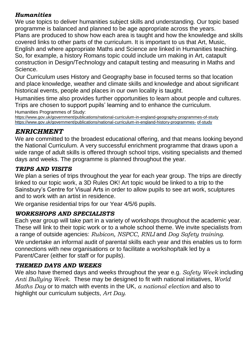#### *Humanities*

We use topics to deliver humanities subject skills and understanding. Our topic based programme is balanced and planned to be age appropriate across the years. Plans are produced to show how each area is taught and how the knowledge and skills covered links to other parts of the curriculum. It is important to us that Art, Music, English and where appropriate Maths and Science are linked in Humanities teaching. So, for example, a history Romans topic could include urn making in Art, catapult construction in Design/Technology and catapult testing and measuring in Maths and Science.

Our Curriculum uses History and Geography base in focused terms so that location and place knowledge, weather and climate skills and knowledge and about significant historical events, people and places in our own locality is taught.

Humanities time also provides further opportunities to learn about people and cultures. Trips are chosen to support pupils' learning and to enhance the curriculum. Humanities Programmes of Study:

<https://www.gov.uk/government/publications/national-curriculum-in-england-geography-programmes-of-study> [https://www.gov.uk/government/publications/national-curriculum-in-england-history-programmes-](https://www.gov.uk/government/publications/national-curriculum-in-england-history-programmes-of-study) [of-study](https://www.gov.uk/government/publications/national-curriculum-in-england-history-programmes-of-study)

# *ENRICHMENT*

We are committed to the broadest educational offering, and that means looking beyond the National Curriculum. A very successful enrichment programme that draws upon a wide range of adult skills is offered through school trips, visiting specialists and themed days and weeks. The programme is planned throughout the year.

# *TRIPS AND VISITS*

We plan a series of trips throughout the year for each year group. The trips are directly linked to our topic work, a 3D Rules OK! Art topic would be linked to a trip to the Sainsbury's Centre for Visual Arts in order to allow pupils to see art work, sculptures and to work with an artist in residence.

We organise residential trips for our Year 4/5/6 pupils.

# *WORKSHOPS AND SPECIALISTS*

Each year group will take part in a variety of workshops throughout the academic year. These will link to their topic work or to a whole school theme. We invite specialists from a range of outside agencies: *Rubicon, NSPCC, RNLI* and *Dog Safety training*. We undertake an informal audit of parental skills each year and this enables us to form connections with new organisations or to facilitate a workshop/talk led by a Parent/Carer (either for staff or for pupils).

# *THEMED DAYS AND WEEKS*

We also have themed days and weeks throughout the year e.g. *Safety Week* including *Anti Bullying Week*. These may be designed to fit with national initiatives, *World Maths Day* or to match with events in the UK, *a national election* and also to highlight our curriculum subjects, *Art Day.*